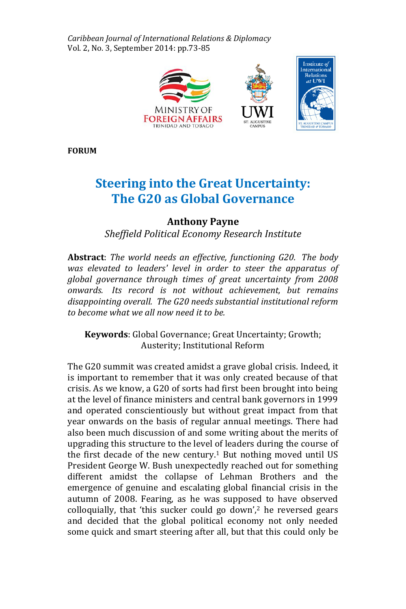*Caribbean Journal of International Relations & Diplomacy* Vol. 2, No. 3, September 2014: pp.73-85



**FORUM**

# **Steering into the Great Uncertainty: The G20 as Global Governance**

# **Anthony Payne**

*Sheffield Political Economy Research Institute*

**Abstract**: *The world needs an effective, functioning G20. The body was elevated to leaders' level in order to steer the apparatus of global governance through times of great uncertainty from 2008 onwards. Its record is not without achievement, but remains disappointing overall. The G20 needs substantial institutional reform to become what we all now need it to be.*

**Keywords**: Global Governance; Great Uncertainty; Growth; Austerity; Institutional Reform

The G20 summit was created amidst a grave global crisis. Indeed, it is important to remember that it was only created because of that crisis. As we know, a G20 of sorts had first been brought into being at the level of finance ministers and central bank governors in 1999 and operated conscientiously but without great impact from that year onwards on the basis of regular annual meetings. There had also been much discussion of and some writing about the merits of upgrading this structure to the level of leaders during the course of the first decade of the new century.<sup>1</sup> But nothing moved until US President George W. Bush unexpectedly reached out for something different amidst the collapse of Lehman Brothers and the emergence of genuine and escalating global financial crisis in the autumn of 2008. Fearing, as he was supposed to have observed colloquially, that 'this sucker could go down',<sup>2</sup> he reversed gears and decided that the global political economy not only needed some quick and smart steering after all, but that this could only be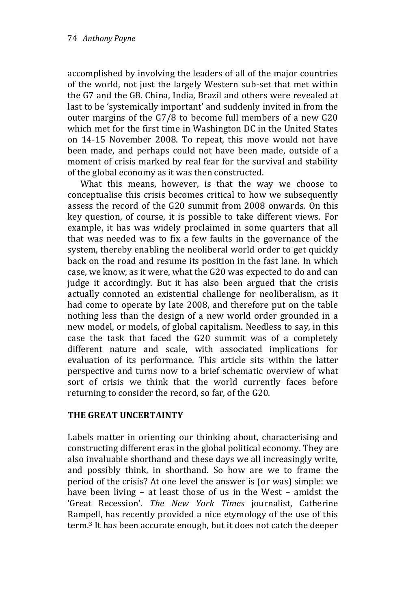accomplished by involving the leaders of all of the major countries of the world, not just the largely Western sub-set that met within the G7 and the G8. China, India, Brazil and others were revealed at last to be 'systemically important' and suddenly invited in from the outer margins of the G7/8 to become full members of a new G20 which met for the first time in Washington DC in the United States on 14-15 November 2008. To repeat, this move would not have been made, and perhaps could not have been made, outside of a moment of crisis marked by real fear for the survival and stability of the global economy as it was then constructed.

What this means, however, is that the way we choose to conceptualise this crisis becomes critical to how we subsequently assess the record of the G20 summit from 2008 onwards. On this key question, of course, it is possible to take different views. For example, it has was widely proclaimed in some quarters that all that was needed was to fix a few faults in the governance of the system, thereby enabling the neoliberal world order to get quickly back on the road and resume its position in the fast lane. In which case, we know, as it were, what the G20 was expected to do and can judge it accordingly. But it has also been argued that the crisis actually connoted an existential challenge for neoliberalism, as it had come to operate by late 2008, and therefore put on the table nothing less than the design of a new world order grounded in a new model, or models, of global capitalism. Needless to say, in this case the task that faced the G20 summit was of a completely different nature and scale, with associated implications for evaluation of its performance. This article sits within the latter perspective and turns now to a brief schematic overview of what sort of crisis we think that the world currently faces before returning to consider the record, so far, of the G20.

## **THE GREAT UNCERTAINTY**

Labels matter in orienting our thinking about, characterising and constructing different eras in the global political economy. They are also invaluable shorthand and these days we all increasingly write, and possibly think, in shorthand. So how are we to frame the period of the crisis? At one level the answer is (or was) simple: we have been living – at least those of us in the West – amidst the 'Great Recession'. *The New York Times* journalist, Catherine Rampell, has recently provided a nice etymology of the use of this term.<sup>3</sup> It has been accurate enough, but it does not catch the deeper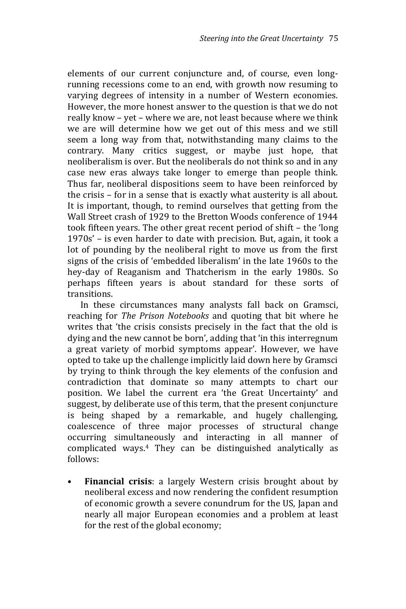elements of our current conjuncture and, of course, even longrunning recessions come to an end, with growth now resuming to varying degrees of intensity in a number of Western economies. However, the more honest answer to the question is that we do not really know – yet – where we are, not least because where we think we are will determine how we get out of this mess and we still seem a long way from that, notwithstanding many claims to the contrary. Many critics suggest, or maybe just hope, that neoliberalism is over. But the neoliberals do not think so and in any case new eras always take longer to emerge than people think. Thus far, neoliberal dispositions seem to have been reinforced by the crisis – for in a sense that is exactly what austerity is all about. It is important, though, to remind ourselves that getting from the Wall Street crash of 1929 to the Bretton Woods conference of 1944 took fifteen years. The other great recent period of shift – the 'long 1970s' – is even harder to date with precision. But, again, it took a lot of pounding by the neoliberal right to move us from the first signs of the crisis of 'embedded liberalism' in the late 1960s to the hey-day of Reaganism and Thatcherism in the early 1980s. So perhaps fifteen years is about standard for these sorts of transitions.

In these circumstances many analysts fall back on Gramsci, reaching for *The Prison Notebooks* and quoting that bit where he writes that 'the crisis consists precisely in the fact that the old is dying and the new cannot be born', adding that 'in this interregnum a great variety of morbid symptoms appear'. However, we have opted to take up the challenge implicitly laid down here by Gramsci by trying to think through the key elements of the confusion and contradiction that dominate so many attempts to chart our position. We label the current era 'the Great Uncertainty' and suggest, by deliberate use of this term, that the present conjuncture is being shaped by a remarkable, and hugely challenging, coalescence of three major processes of structural change occurring simultaneously and interacting in all manner of complicated ways.<sup>4</sup> They can be distinguished analytically as follows:

• **Financial crisis**: a largely Western crisis brought about by neoliberal excess and now rendering the confident resumption of economic growth a severe conundrum for the US, Japan and nearly all major European economies and a problem at least for the rest of the global economy;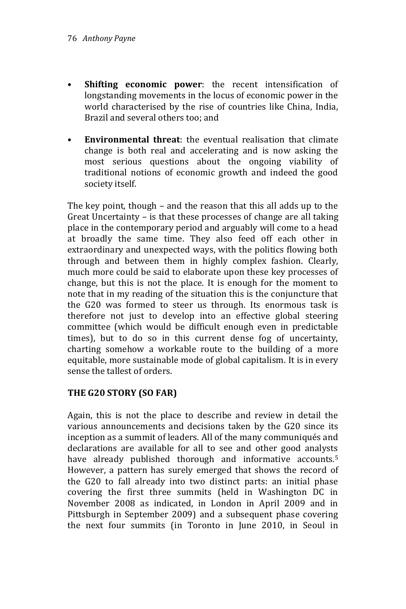- **Shifting economic power**: the recent intensification of longstanding movements in the locus of economic power in the world characterised by the rise of countries like China, India, Brazil and several others too; and
- **Environmental threat**: the eventual realisation that climate change is both real and accelerating and is now asking the most serious questions about the ongoing viability of traditional notions of economic growth and indeed the good society itself.

The key point, though – and the reason that this all adds up to the Great Uncertainty – is that these processes of change are all taking place in the contemporary period and arguably will come to a head at broadly the same time. They also feed off each other in extraordinary and unexpected ways, with the politics flowing both through and between them in highly complex fashion. Clearly, much more could be said to elaborate upon these key processes of change, but this is not the place. It is enough for the moment to note that in my reading of the situation this is the conjuncture that the G20 was formed to steer us through. Its enormous task is therefore not just to develop into an effective global steering committee (which would be difficult enough even in predictable times), but to do so in this current dense fog of uncertainty, charting somehow a workable route to the building of a more equitable, more sustainable mode of global capitalism. It is in every sense the tallest of orders.

## **THE G20 STORY (SO FAR)**

Again, this is not the place to describe and review in detail the various announcements and decisions taken by the G20 since its inception as a summit of leaders. All of the many communiqués and declarations are available for all to see and other good analysts have already published thorough and informative accounts.<sup>5</sup> However, a pattern has surely emerged that shows the record of the G20 to fall already into two distinct parts: an initial phase covering the first three summits (held in Washington DC in November 2008 as indicated, in London in April 2009 and in Pittsburgh in September 2009) and a subsequent phase covering the next four summits (in Toronto in June 2010, in Seoul in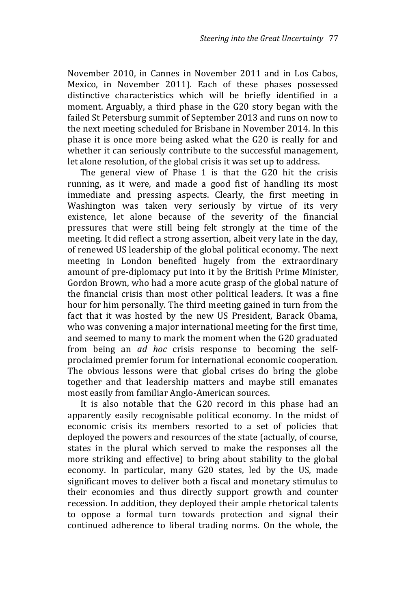November 2010, in Cannes in November 2011 and in Los Cabos, Mexico, in November 2011). Each of these phases possessed distinctive characteristics which will be briefly identified in a moment. Arguably, a third phase in the G20 story began with the failed St Petersburg summit of September 2013 and runs on now to the next meeting scheduled for Brisbane in November 2014. In this phase it is once more being asked what the G20 is really for and whether it can seriously contribute to the successful management, let alone resolution, of the global crisis it was set up to address.

The general view of Phase 1 is that the G20 hit the crisis running, as it were, and made a good fist of handling its most immediate and pressing aspects. Clearly, the first meeting in Washington was taken very seriously by virtue of its very existence, let alone because of the severity of the financial pressures that were still being felt strongly at the time of the meeting. It did reflect a strong assertion, albeit very late in the day, of renewed US leadership of the global political economy. The next meeting in London benefited hugely from the extraordinary amount of pre-diplomacy put into it by the British Prime Minister, Gordon Brown, who had a more acute grasp of the global nature of the financial crisis than most other political leaders. It was a fine hour for him personally. The third meeting gained in turn from the fact that it was hosted by the new US President, Barack Obama, who was convening a major international meeting for the first time, and seemed to many to mark the moment when the G20 graduated from being an *ad hoc* crisis response to becoming the selfproclaimed premier forum for international economic cooperation. The obvious lessons were that global crises do bring the globe together and that leadership matters and maybe still emanates most easily from familiar Anglo-American sources.

It is also notable that the G20 record in this phase had an apparently easily recognisable political economy. In the midst of economic crisis its members resorted to a set of policies that deployed the powers and resources of the state (actually, of course, states in the plural which served to make the responses all the more striking and effective) to bring about stability to the global economy. In particular, many G20 states, led by the US, made significant moves to deliver both a fiscal and monetary stimulus to their economies and thus directly support growth and counter recession. In addition, they deployed their ample rhetorical talents to oppose a formal turn towards protection and signal their continued adherence to liberal trading norms. On the whole, the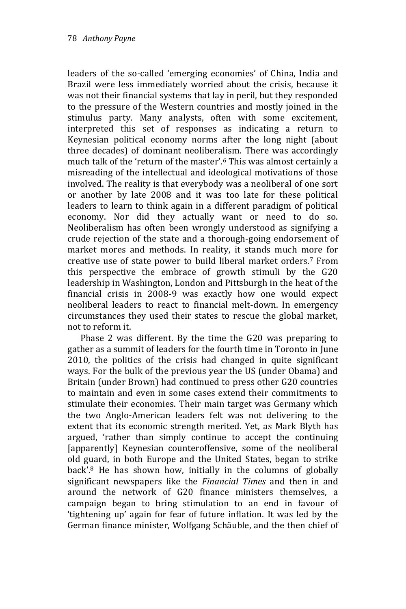leaders of the so-called 'emerging economies' of China, India and Brazil were less immediately worried about the crisis, because it was not their financial systems that lay in peril, but they responded to the pressure of the Western countries and mostly joined in the stimulus party. Many analysts, often with some excitement, interpreted this set of responses as indicating a return to Keynesian political economy norms after the long night (about three decades) of dominant neoliberalism. There was accordingly much talk of the 'return of the master'.<sup>6</sup> This was almost certainly a misreading of the intellectual and ideological motivations of those involved. The reality is that everybody was a neoliberal of one sort or another by late 2008 and it was too late for these political leaders to learn to think again in a different paradigm of political economy. Nor did they actually want or need to do so. Neoliberalism has often been wrongly understood as signifying a crude rejection of the state and a thorough-going endorsement of market mores and methods. In reality, it stands much more for creative use of state power to build liberal market orders.<sup>7</sup> From this perspective the embrace of growth stimuli by the G20 leadership in Washington, London and Pittsburgh in the heat of the financial crisis in 2008-9 was exactly how one would expect neoliberal leaders to react to financial melt-down. In emergency circumstances they used their states to rescue the global market, not to reform it.

Phase 2 was different. By the time the G20 was preparing to gather as a summit of leaders for the fourth time in Toronto in June 2010, the politics of the crisis had changed in quite significant ways. For the bulk of the previous year the US (under Obama) and Britain (under Brown) had continued to press other G20 countries to maintain and even in some cases extend their commitments to stimulate their economies. Their main target was Germany which the two Anglo-American leaders felt was not delivering to the extent that its economic strength merited. Yet, as Mark Blyth has argued, 'rather than simply continue to accept the continuing [apparently] Keynesian counteroffensive, some of the neoliberal old guard, in both Europe and the United States, began to strike back'.<sup>8</sup> He has shown how, initially in the columns of globally significant newspapers like the *Financial Times* and then in and around the network of G20 finance ministers themselves, a campaign began to bring stimulation to an end in favour of 'tightening up' again for fear of future inflation. It was led by the German finance minister, Wolfgang Schäuble, and the then chief of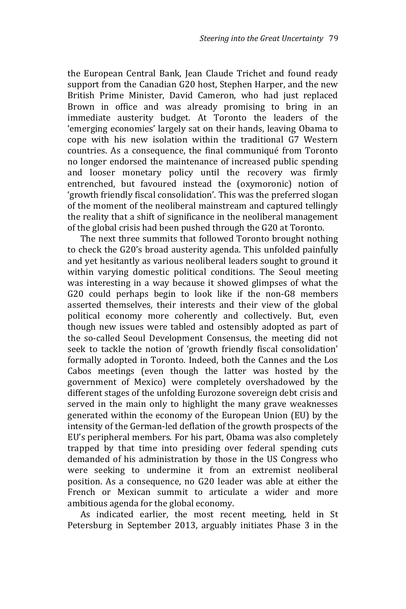the European Central Bank, Jean Claude Trichet and found ready support from the Canadian G20 host, Stephen Harper, and the new British Prime Minister, David Cameron, who had just replaced Brown in office and was already promising to bring in an immediate austerity budget. At Toronto the leaders of the 'emerging economies' largely sat on their hands, leaving Obama to cope with his new isolation within the traditional G7 Western countries. As a consequence, the final communiqué from Toronto no longer endorsed the maintenance of increased public spending and looser monetary policy until the recovery was firmly entrenched, but favoured instead the (oxymoronic) notion of 'growth friendly fiscal consolidation'. This was the preferred slogan of the moment of the neoliberal mainstream and captured tellingly the reality that a shift of significance in the neoliberal management of the global crisis had been pushed through the G20 at Toronto.

The next three summits that followed Toronto brought nothing to check the G20's broad austerity agenda. This unfolded painfully and yet hesitantly as various neoliberal leaders sought to ground it within varying domestic political conditions. The Seoul meeting was interesting in a way because it showed glimpses of what the G20 could perhaps begin to look like if the non-G8 members asserted themselves, their interests and their view of the global political economy more coherently and collectively. But, even though new issues were tabled and ostensibly adopted as part of the so-called Seoul Development Consensus, the meeting did not seek to tackle the notion of 'growth friendly fiscal consolidation' formally adopted in Toronto. Indeed, both the Cannes and the Los Cabos meetings (even though the latter was hosted by the government of Mexico) were completely overshadowed by the different stages of the unfolding Eurozone sovereign debt crisis and served in the main only to highlight the many grave weaknesses generated within the economy of the European Union (EU) by the intensity of the German-led deflation of the growth prospects of the EU's peripheral members. For his part, Obama was also completely trapped by that time into presiding over federal spending cuts demanded of his administration by those in the US Congress who were seeking to undermine it from an extremist neoliberal position. As a consequence, no G20 leader was able at either the French or Mexican summit to articulate a wider and more ambitious agenda for the global economy.

As indicated earlier, the most recent meeting, held in St Petersburg in September 2013, arguably initiates Phase 3 in the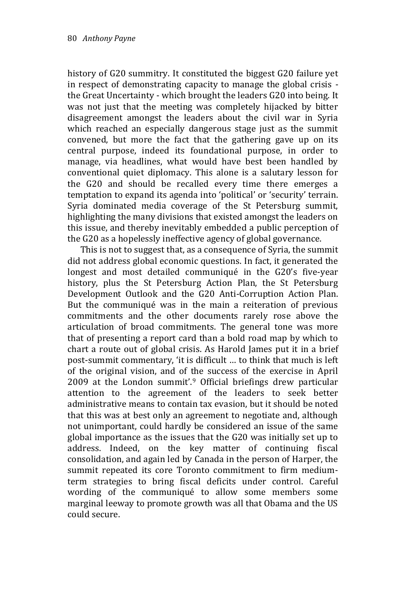history of G20 summitry. It constituted the biggest G20 failure yet in respect of demonstrating capacity to manage the global crisis the Great Uncertainty - which brought the leaders G20 into being. It was not just that the meeting was completely hijacked by bitter disagreement amongst the leaders about the civil war in Syria which reached an especially dangerous stage just as the summit convened, but more the fact that the gathering gave up on its central purpose, indeed its foundational purpose, in order to manage, via headlines, what would have best been handled by conventional quiet diplomacy. This alone is a salutary lesson for the G20 and should be recalled every time there emerges a temptation to expand its agenda into 'political' or 'security' terrain. Syria dominated media coverage of the St Petersburg summit, highlighting the many divisions that existed amongst the leaders on this issue, and thereby inevitably embedded a public perception of the G20 as a hopelessly ineffective agency of global governance.

This is not to suggest that, as a consequence of Syria, the summit did not address global economic questions. In fact, it generated the longest and most detailed communiqué in the G20's five-year history, plus the St Petersburg Action Plan, the St Petersburg Development Outlook and the G20 Anti-Corruption Action Plan. But the communiqué was in the main a reiteration of previous commitments and the other documents rarely rose above the articulation of broad commitments. The general tone was more that of presenting a report card than a bold road map by which to chart a route out of global crisis. As Harold James put it in a brief post-summit commentary, 'it is difficult … to think that much is left of the original vision, and of the success of the exercise in April 2009 at the London summit'.<sup>9</sup> Official briefings drew particular attention to the agreement of the leaders to seek better administrative means to contain tax evasion, but it should be noted that this was at best only an agreement to negotiate and, although not unimportant, could hardly be considered an issue of the same global importance as the issues that the G20 was initially set up to address. Indeed, on the key matter of continuing fiscal consolidation, and again led by Canada in the person of Harper, the summit repeated its core Toronto commitment to firm mediumterm strategies to bring fiscal deficits under control. Careful wording of the communiqué to allow some members some marginal leeway to promote growth was all that Obama and the US could secure.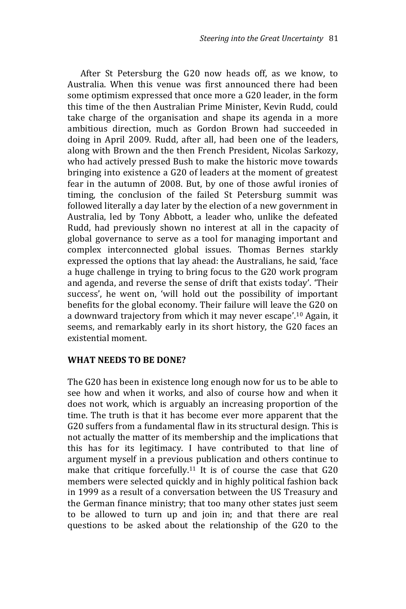After St Petersburg the G20 now heads off, as we know, to Australia. When this venue was first announced there had been some optimism expressed that once more a G20 leader, in the form this time of the then Australian Prime Minister, Kevin Rudd, could take charge of the organisation and shape its agenda in a more ambitious direction, much as Gordon Brown had succeeded in doing in April 2009. Rudd, after all, had been one of the leaders, along with Brown and the then French President, Nicolas Sarkozy, who had actively pressed Bush to make the historic move towards bringing into existence a G20 of leaders at the moment of greatest fear in the autumn of 2008. But, by one of those awful ironies of timing, the conclusion of the failed St Petersburg summit was followed literally a day later by the election of a new government in Australia, led by Tony Abbott, a leader who, unlike the defeated Rudd, had previously shown no interest at all in the capacity of global governance to serve as a tool for managing important and complex interconnected global issues. Thomas Bernes starkly expressed the options that lay ahead: the Australians, he said, 'face a huge challenge in trying to bring focus to the G20 work program and agenda, and reverse the sense of drift that exists today'. 'Their success', he went on, 'will hold out the possibility of important benefits for the global economy. Their failure will leave the G20 on a downward trajectory from which it may never escape'. <sup>10</sup> Again, it seems, and remarkably early in its short history, the G20 faces an existential moment.

#### **WHAT NEEDS TO BE DONE?**

The G20 has been in existence long enough now for us to be able to see how and when it works, and also of course how and when it does not work, which is arguably an increasing proportion of the time. The truth is that it has become ever more apparent that the G20 suffers from a fundamental flaw in its structural design. This is not actually the matter of its membership and the implications that this has for its legitimacy. I have contributed to that line of argument myself in a previous publication and others continue to make that critique forcefully.<sup>11</sup> It is of course the case that G20 members were selected quickly and in highly political fashion back in 1999 as a result of a conversation between the US Treasury and the German finance ministry; that too many other states just seem to be allowed to turn up and join in; and that there are real questions to be asked about the relationship of the G20 to the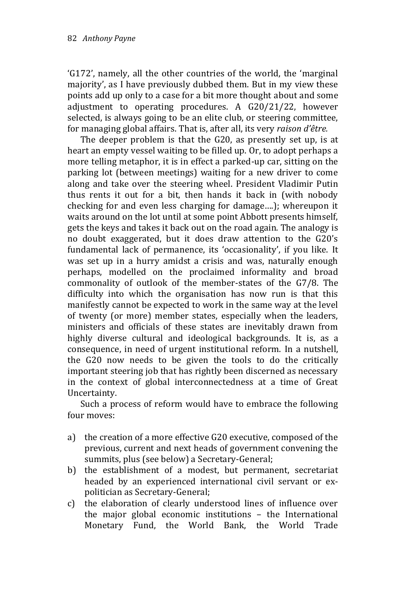'G172', namely, all the other countries of the world, the 'marginal majority', as I have previously dubbed them. But in my view these points add up only to a case for a bit more thought about and some adjustment to operating procedures. A G20/21/22, however selected, is always going to be an elite club, or steering committee, for managing global affairs. That is, after all, its very *raison d'être.*

The deeper problem is that the G20, as presently set up, is at heart an empty vessel waiting to be filled up. Or, to adopt perhaps a more telling metaphor, it is in effect a parked-up car, sitting on the parking lot (between meetings) waiting for a new driver to come along and take over the steering wheel. President Vladimir Putin thus rents it out for a bit, then hands it back in (with nobody checking for and even less charging for damage….); whereupon it waits around on the lot until at some point Abbott presents himself, gets the keys and takes it back out on the road again. The analogy is no doubt exaggerated, but it does draw attention to the G20's fundamental lack of permanence, its 'occasionality', if you like. It was set up in a hurry amidst a crisis and was, naturally enough perhaps, modelled on the proclaimed informality and broad commonality of outlook of the member-states of the G7/8. The difficulty into which the organisation has now run is that this manifestly cannot be expected to work in the same way at the level of twenty (or more) member states, especially when the leaders, ministers and officials of these states are inevitably drawn from highly diverse cultural and ideological backgrounds. It is, as a consequence, in need of urgent institutional reform. In a nutshell, the G20 now needs to be given the tools to do the critically important steering job that has rightly been discerned as necessary in the context of global interconnectedness at a time of Great Uncertainty.

Such a process of reform would have to embrace the following four moves:

- a) the creation of a more effective G20 executive, composed of the previous, current and next heads of government convening the summits, plus (see below) a Secretary-General;
- b) the establishment of a modest, but permanent, secretariat headed by an experienced international civil servant or expolitician as Secretary-General;
- c) the elaboration of clearly understood lines of influence over the major global economic institutions – the International Monetary Fund, the World Bank, the World Trade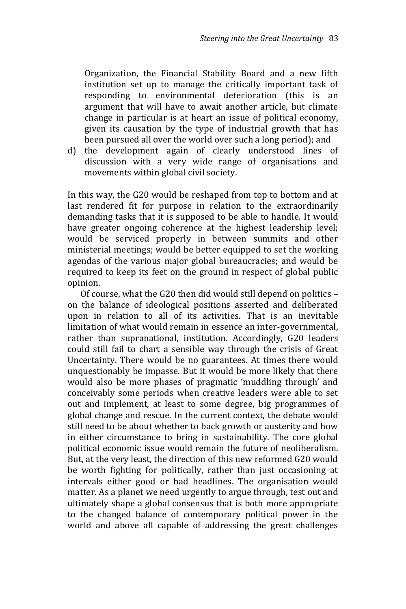Organization, the Financial Stability Board and a new fifth institution set up to manage the critically important task of responding to environmental deterioration (this is an argument that will have to await another article, but climate change in particular is at heart an issue of political economy, given its causation by the type of industrial growth that has been pursued all over the world over such a long period); and

d) the development again of clearly understood lines of discussion with a very wide range of organisations and movements within global civil society.

In this way, the G20 would be reshaped from top to bottom and at last rendered fit for purpose in relation to the extraordinarily demanding tasks that it is supposed to be able to handle. It would have greater ongoing coherence at the highest leadership level; would be serviced properly in between summits and other ministerial meetings; would be better equipped to set the working agendas of the various major global bureaucracies; and would be required to keep its feet on the ground in respect of global public opinion.

Of course, what the G20 then did would still depend on politics – on the balance of ideological positions asserted and deliberated upon in relation to all of its activities. That is an inevitable limitation of what would remain in essence an inter-governmental, rather than supranational, institution. Accordingly, G20 leaders could still fail to chart a sensible way through the crisis of Great Uncertainty. There would be no guarantees. At times there would unquestionably be impasse. But it would be more likely that there would also be more phases of pragmatic 'muddling through' and conceivably some periods when creative leaders were able to set out and implement, at least to some degree, big programmes of global change and rescue. In the current context, the debate would still need to be about whether to back growth or austerity and how in either circumstance to bring in sustainability. The core global political economic issue would remain the future of neoliberalism. But, at the very least, the direction of this new reformed G20 would be worth fighting for politically, rather than just occasioning at intervals either good or bad headlines. The organisation would matter. As a planet we need urgently to argue through, test out and ultimately shape a global consensus that is both more appropriate to the changed balance of contemporary political power in the world and above all capable of addressing the great challenges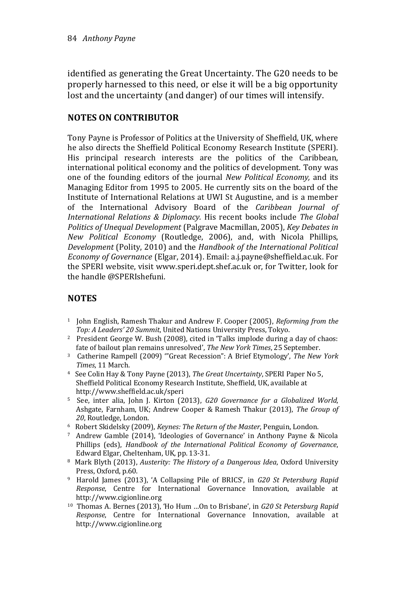identified as generating the Great Uncertainty. The G20 needs to be properly harnessed to this need, or else it will be a big opportunity lost and the uncertainty (and danger) of our times will intensify.

#### **NOTES ON CONTRIBUTOR**

Tony Payne is Professor of Politics at the University of Sheffield, UK, where he also directs the Sheffield Political Economy Research Institute (SPERI). His principal research interests are the politics of the Caribbean, international political economy and the politics of development. Tony was one of the founding editors of the journal *New Political Economy,* and its Managing Editor from 1995 to 2005. He currently sits on the board of the Institute of International Relations at UWI St Augustine, and is a member of the International Advisory Board of the *Caribbean Journal of International Relations & Diplomacy.* His recent books include *The Global Politics of Unequal Development* (Palgrave Macmillan, 2005), *Key Debates in New Political Economy* (Routledge, 2006), and, with Nicola Phillips, *Development* (Polity, 2010) and the *Handbook of the International Political Economy of Governance* (Elgar, 2014). Email: a.j.payne@sheffield.ac.uk. For the SPERI website, visit www.speri.dept.shef.ac.uk or, for Twitter, look for the handle @SPERIshefuni.

## **NOTES**

- <sup>1</sup> John English, Ramesh Thakur and Andrew F. Cooper (2005), *Reforming from the Top: A Leaders' 20 Summit*, United Nations University Press, Tokyo.
- <sup>2</sup> President George W. Bush (2008), cited in 'Talks implode during a day of chaos: fate of bailout plan remains unresolved', *The New York Times*, 25 September.
- <sup>3</sup> Catherine Rampell (2009) '"Great Recession": A Brief Etymology', *The New York Times*, 11 March.
- <sup>4</sup> See Colin Hay & Tony Payne (2013), *The Great Uncertainty*, SPERI Paper No 5, Sheffield Political Economy Research Institute, Sheffield, UK, available at <http://www.sheffield.ac.uk/speri>
- <sup>5</sup> See, inter alia, John J. Kirton (2013), *G20 Governance for a Globalized World*, Ashgate, Farnham, UK; Andrew Cooper & Ramesh Thakur (2013), *The Group of 20*, Routledge, London.
- <sup>6</sup> Robert Skidelsky (2009), *Keynes: The Return of the Master*, Penguin, London.
- <sup>7</sup> Andrew Gamble (2014), 'Ideologies of Governance' in Anthony Payne & Nicola Phillips (eds), *Handbook of the International Political Economy of Governance*, Edward Elgar, Cheltenham, UK, pp. 13-31.
- <sup>8</sup> Mark Blyth (2013), *Austerity: The History of a Dangerous Idea*, Oxford University Press, Oxford, p.60.
- <sup>9</sup> Harold James (2013), 'A Collapsing Pile of BRICS', in *G20 St Petersburg Rapid Response*, Centre for International Governance Innovation, available at [http://www.cigionline.org](http://www.cigionline.org/)
- <sup>10</sup> Thomas A. Bernes (2013), 'Ho Hum …On to Brisbane', in *G20 St Petersburg Rapid Response*, Centre for International Governance Innovation, available at [http://www.cigionline.org](http://www.cigionline.org/)